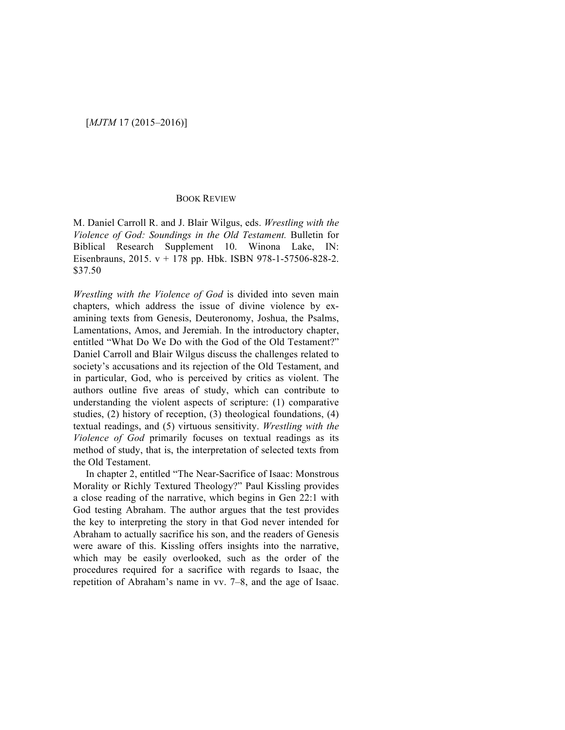## BOOK REVIEW

M. Daniel Carroll R. and J. Blair Wilgus, eds. *Wrestling with the Violence of God: Soundings in the Old Testament.* Bulletin for Biblical Research Supplement 10. Winona Lake, IN: Eisenbrauns, 2015. v + 178 pp. Hbk. ISBN 978-1-57506-828-2. \$37.50

*Wrestling with the Violence of God* is divided into seven main chapters, which address the issue of divine violence by examining texts from Genesis, Deuteronomy, Joshua, the Psalms, Lamentations, Amos, and Jeremiah. In the introductory chapter, entitled "What Do We Do with the God of the Old Testament?" Daniel Carroll and Blair Wilgus discuss the challenges related to society's accusations and its rejection of the Old Testament, and in particular, God, who is perceived by critics as violent. The authors outline five areas of study, which can contribute to understanding the violent aspects of scripture: (1) comparative studies, (2) history of reception, (3) theological foundations, (4) textual readings, and (5) virtuous sensitivity. *Wrestling with the Violence of God* primarily focuses on textual readings as its method of study, that is, the interpretation of selected texts from the Old Testament.

In chapter 2, entitled "The Near-Sacrifice of Isaac: Monstrous Morality or Richly Textured Theology?" Paul Kissling provides a close reading of the narrative, which begins in Gen 22:1 with God testing Abraham. The author argues that the test provides the key to interpreting the story in that God never intended for Abraham to actually sacrifice his son, and the readers of Genesis were aware of this. Kissling offers insights into the narrative, which may be easily overlooked, such as the order of the procedures required for a sacrifice with regards to Isaac, the repetition of Abraham's name in vv. 7–8, and the age of Isaac.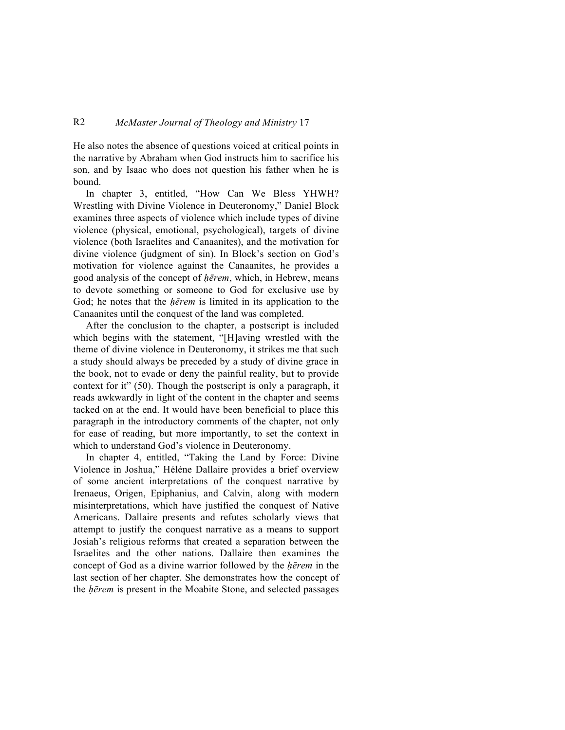## R2 *McMaster Journal of Theology and Ministry* 17

He also notes the absence of questions voiced at critical points in the narrative by Abraham when God instructs him to sacrifice his son, and by Isaac who does not question his father when he is bound.

In chapter 3, entitled, "How Can We Bless YHWH? Wrestling with Divine Violence in Deuteronomy," Daniel Block examines three aspects of violence which include types of divine violence (physical, emotional, psychological), targets of divine violence (both Israelites and Canaanites), and the motivation for divine violence (judgment of sin). In Block's section on God's motivation for violence against the Canaanites, he provides a good analysis of the concept of *ḥērem*, which, in Hebrew, means to devote something or someone to God for exclusive use by God; he notes that the *ḥērem* is limited in its application to the Canaanites until the conquest of the land was completed.

After the conclusion to the chapter, a postscript is included which begins with the statement, "[H]aving wrestled with the theme of divine violence in Deuteronomy, it strikes me that such a study should always be preceded by a study of divine grace in the book, not to evade or deny the painful reality, but to provide context for it" (50). Though the postscript is only a paragraph, it reads awkwardly in light of the content in the chapter and seems tacked on at the end. It would have been beneficial to place this paragraph in the introductory comments of the chapter, not only for ease of reading, but more importantly, to set the context in which to understand God's violence in Deuteronomy.

In chapter 4, entitled, "Taking the Land by Force: Divine Violence in Joshua," Hélène Dallaire provides a brief overview of some ancient interpretations of the conquest narrative by Irenaeus, Origen, Epiphanius, and Calvin, along with modern misinterpretations, which have justified the conquest of Native Americans. Dallaire presents and refutes scholarly views that attempt to justify the conquest narrative as a means to support Josiah's religious reforms that created a separation between the Israelites and the other nations. Dallaire then examines the concept of God as a divine warrior followed by the *ḥērem* in the last section of her chapter. She demonstrates how the concept of the *ḥērem* is present in the Moabite Stone, and selected passages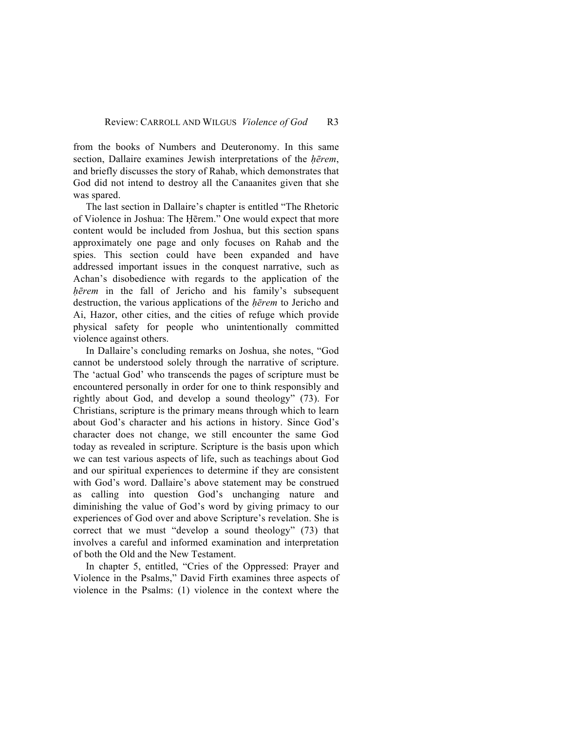from the books of Numbers and Deuteronomy. In this same section, Dallaire examines Jewish interpretations of the *ḥērem*, and briefly discusses the story of Rahab, which demonstrates that God did not intend to destroy all the Canaanites given that she was spared.

The last section in Dallaire's chapter is entitled "The Rhetoric of Violence in Joshua: The Ḥērem." One would expect that more content would be included from Joshua, but this section spans approximately one page and only focuses on Rahab and the spies. This section could have been expanded and have addressed important issues in the conquest narrative, such as Achan's disobedience with regards to the application of the *ḥērem* in the fall of Jericho and his family's subsequent destruction, the various applications of the *ḥērem* to Jericho and Ai, Hazor, other cities, and the cities of refuge which provide physical safety for people who unintentionally committed violence against others.

In Dallaire's concluding remarks on Joshua, she notes, "God cannot be understood solely through the narrative of scripture. The 'actual God' who transcends the pages of scripture must be encountered personally in order for one to think responsibly and rightly about God, and develop a sound theology" (73). For Christians, scripture is the primary means through which to learn about God's character and his actions in history. Since God's character does not change, we still encounter the same God today as revealed in scripture. Scripture is the basis upon which we can test various aspects of life, such as teachings about God and our spiritual experiences to determine if they are consistent with God's word. Dallaire's above statement may be construed as calling into question God's unchanging nature and diminishing the value of God's word by giving primacy to our experiences of God over and above Scripture's revelation. She is correct that we must "develop a sound theology" (73) that involves a careful and informed examination and interpretation of both the Old and the New Testament.

In chapter 5, entitled, "Cries of the Oppressed: Prayer and Violence in the Psalms," David Firth examines three aspects of violence in the Psalms: (1) violence in the context where the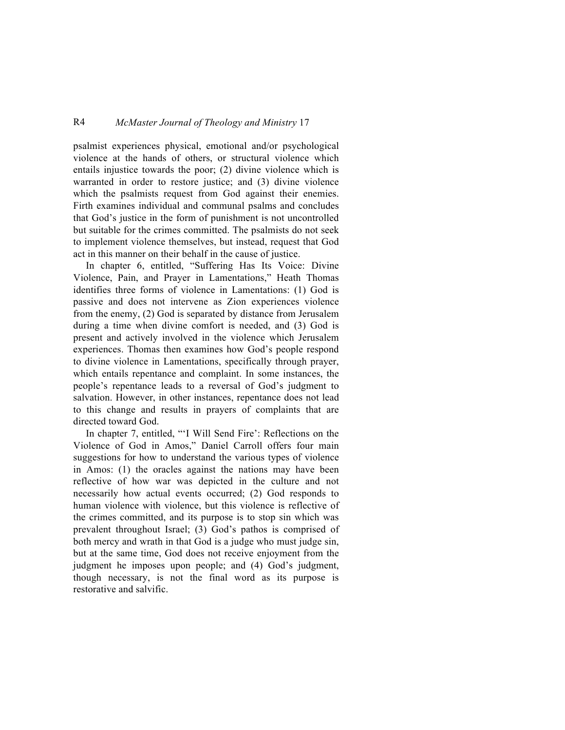## R4 *McMaster Journal of Theology and Ministry* 17

psalmist experiences physical, emotional and/or psychological violence at the hands of others, or structural violence which entails injustice towards the poor; (2) divine violence which is warranted in order to restore justice; and (3) divine violence which the psalmists request from God against their enemies. Firth examines individual and communal psalms and concludes that God's justice in the form of punishment is not uncontrolled but suitable for the crimes committed. The psalmists do not seek to implement violence themselves, but instead, request that God act in this manner on their behalf in the cause of justice.

In chapter 6, entitled, "Suffering Has Its Voice: Divine Violence, Pain, and Prayer in Lamentations," Heath Thomas identifies three forms of violence in Lamentations: (1) God is passive and does not intervene as Zion experiences violence from the enemy, (2) God is separated by distance from Jerusalem during a time when divine comfort is needed, and (3) God is present and actively involved in the violence which Jerusalem experiences. Thomas then examines how God's people respond to divine violence in Lamentations, specifically through prayer, which entails repentance and complaint. In some instances, the people's repentance leads to a reversal of God's judgment to salvation. However, in other instances, repentance does not lead to this change and results in prayers of complaints that are directed toward God.

In chapter 7, entitled, "'I Will Send Fire': Reflections on the Violence of God in Amos," Daniel Carroll offers four main suggestions for how to understand the various types of violence in Amos: (1) the oracles against the nations may have been reflective of how war was depicted in the culture and not necessarily how actual events occurred; (2) God responds to human violence with violence, but this violence is reflective of the crimes committed, and its purpose is to stop sin which was prevalent throughout Israel; (3) God's pathos is comprised of both mercy and wrath in that God is a judge who must judge sin, but at the same time, God does not receive enjoyment from the judgment he imposes upon people; and (4) God's judgment, though necessary, is not the final word as its purpose is restorative and salvific.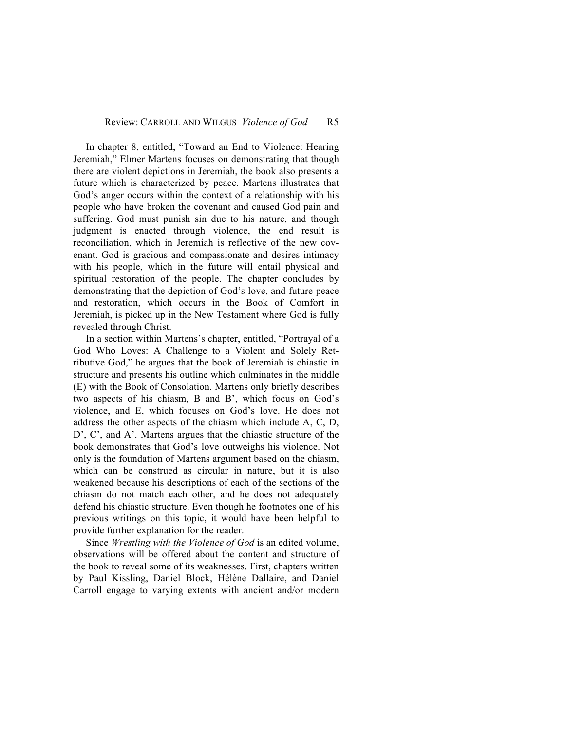In chapter 8, entitled, "Toward an End to Violence: Hearing Jeremiah," Elmer Martens focuses on demonstrating that though there are violent depictions in Jeremiah, the book also presents a future which is characterized by peace. Martens illustrates that God's anger occurs within the context of a relationship with his people who have broken the covenant and caused God pain and suffering. God must punish sin due to his nature, and though judgment is enacted through violence, the end result is reconciliation, which in Jeremiah is reflective of the new covenant. God is gracious and compassionate and desires intimacy with his people, which in the future will entail physical and spiritual restoration of the people. The chapter concludes by demonstrating that the depiction of God's love, and future peace and restoration, which occurs in the Book of Comfort in Jeremiah, is picked up in the New Testament where God is fully revealed through Christ.

In a section within Martens's chapter, entitled, "Portrayal of a God Who Loves: A Challenge to a Violent and Solely Retributive God," he argues that the book of Jeremiah is chiastic in structure and presents his outline which culminates in the middle (E) with the Book of Consolation. Martens only briefly describes two aspects of his chiasm, B and B', which focus on God's violence, and E, which focuses on God's love. He does not address the other aspects of the chiasm which include A, C, D, D', C', and A'. Martens argues that the chiastic structure of the book demonstrates that God's love outweighs his violence. Not only is the foundation of Martens argument based on the chiasm, which can be construed as circular in nature, but it is also weakened because his descriptions of each of the sections of the chiasm do not match each other, and he does not adequately defend his chiastic structure. Even though he footnotes one of his previous writings on this topic, it would have been helpful to provide further explanation for the reader.

Since *Wrestling with the Violence of God* is an edited volume, observations will be offered about the content and structure of the book to reveal some of its weaknesses. First, chapters written by Paul Kissling, Daniel Block, Hélène Dallaire, and Daniel Carroll engage to varying extents with ancient and/or modern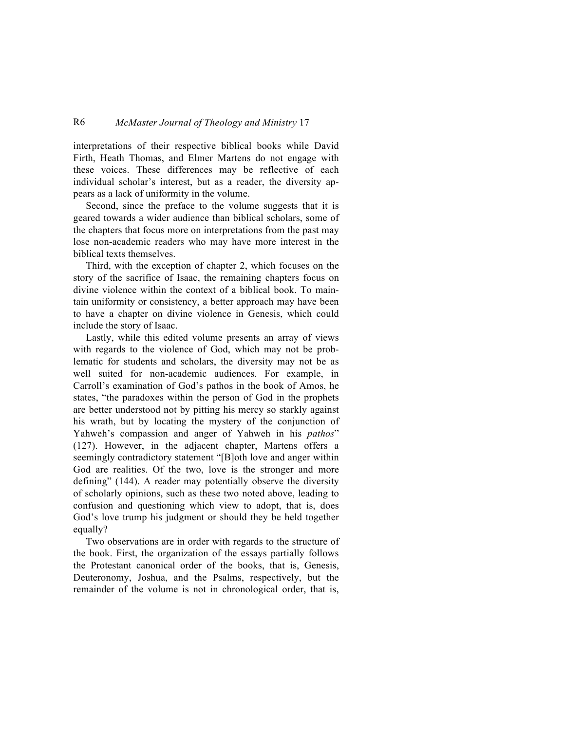## R6 *McMaster Journal of Theology and Ministry* 17

interpretations of their respective biblical books while David Firth, Heath Thomas, and Elmer Martens do not engage with these voices. These differences may be reflective of each individual scholar's interest, but as a reader, the diversity appears as a lack of uniformity in the volume.

Second, since the preface to the volume suggests that it is geared towards a wider audience than biblical scholars, some of the chapters that focus more on interpretations from the past may lose non-academic readers who may have more interest in the biblical texts themselves.

Third, with the exception of chapter 2, which focuses on the story of the sacrifice of Isaac, the remaining chapters focus on divine violence within the context of a biblical book. To maintain uniformity or consistency, a better approach may have been to have a chapter on divine violence in Genesis, which could include the story of Isaac.

Lastly, while this edited volume presents an array of views with regards to the violence of God, which may not be problematic for students and scholars, the diversity may not be as well suited for non-academic audiences. For example, in Carroll's examination of God's pathos in the book of Amos, he states, "the paradoxes within the person of God in the prophets are better understood not by pitting his mercy so starkly against his wrath, but by locating the mystery of the conjunction of Yahweh's compassion and anger of Yahweh in his *pathos*" (127). However, in the adjacent chapter, Martens offers a seemingly contradictory statement "[B]oth love and anger within God are realities. Of the two, love is the stronger and more defining" (144). A reader may potentially observe the diversity of scholarly opinions, such as these two noted above, leading to confusion and questioning which view to adopt, that is, does God's love trump his judgment or should they be held together equally?

Two observations are in order with regards to the structure of the book. First, the organization of the essays partially follows the Protestant canonical order of the books, that is, Genesis, Deuteronomy, Joshua, and the Psalms, respectively, but the remainder of the volume is not in chronological order, that is,